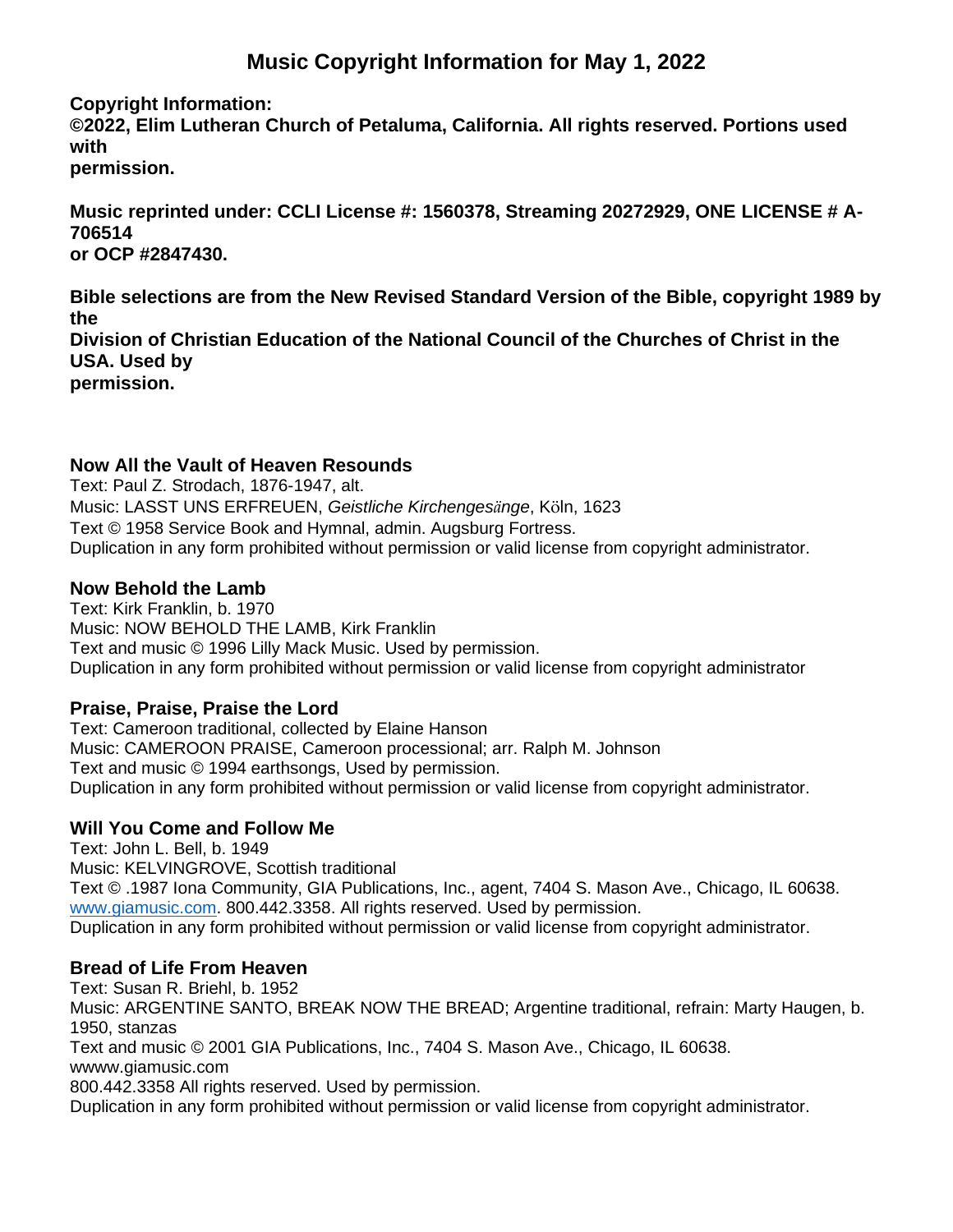# **Music Copyright Information for May 1, 2022**

**Copyright Information:**

**©2022, Elim Lutheran Church of Petaluma, California. All rights reserved. Portions used with**

**permission.**

**Music reprinted under: CCLI License #: 1560378, Streaming 20272929, ONE LICENSE # A-706514 or OCP #2847430.**

**Bible selections are from the New Revised Standard Version of the Bible, copyright 1989 by the Division of Christian Education of the National Council of the Churches of Christ in the USA. Used by permission.**

#### **Now All the Vault of Heaven Resounds**

Text: Paul Z. Strodach, 1876-1947, alt. Music: LASST UNS ERFREUEN, *Geistliche Kirchengesänge*, Köln, 1623 Text © 1958 Service Book and Hymnal, admin. Augsburg Fortress. Duplication in any form prohibited without permission or valid license from copyright administrator.

#### **Now Behold the Lamb**

Text: Kirk Franklin, b. 1970 Music: NOW BEHOLD THE LAMB, Kirk Franklin Text and music © 1996 Lilly Mack Music. Used by permission. Duplication in any form prohibited without permission or valid license from copyright administrator

#### **Praise, Praise, Praise the Lord**

Text: Cameroon traditional, collected by Elaine Hanson Music: CAMEROON PRAISE, Cameroon processional; arr. Ralph M. Johnson Text and music © 1994 earthsongs, Used by permission. Duplication in any form prohibited without permission or valid license from copyright administrator.

### **Will You Come and Follow Me**

Text: John L. Bell, b. 1949 Music: KELVINGROVE, Scottish traditional Text © .1987 Iona Community, GIA Publications, Inc., agent, 7404 S. Mason Ave., Chicago, IL 60638. [www.giamusic.com.](http://www.giamusic.com/) 800.442.3358. All rights reserved. Used by permission. Duplication in any form prohibited without permission or valid license from copyright administrator.

#### **Bread of Life From Heaven**

Text: Susan R. Briehl, b. 1952 Music: ARGENTINE SANTO, BREAK NOW THE BREAD; Argentine traditional, refrain: Marty Haugen, b. 1950, stanzas Text and music © 2001 GIA Publications, Inc., 7404 S. Mason Ave., Chicago, IL 60638. wwww.giamusic.com 800.442.3358 All rights reserved. Used by permission. Duplication in any form prohibited without permission or valid license from copyright administrator.